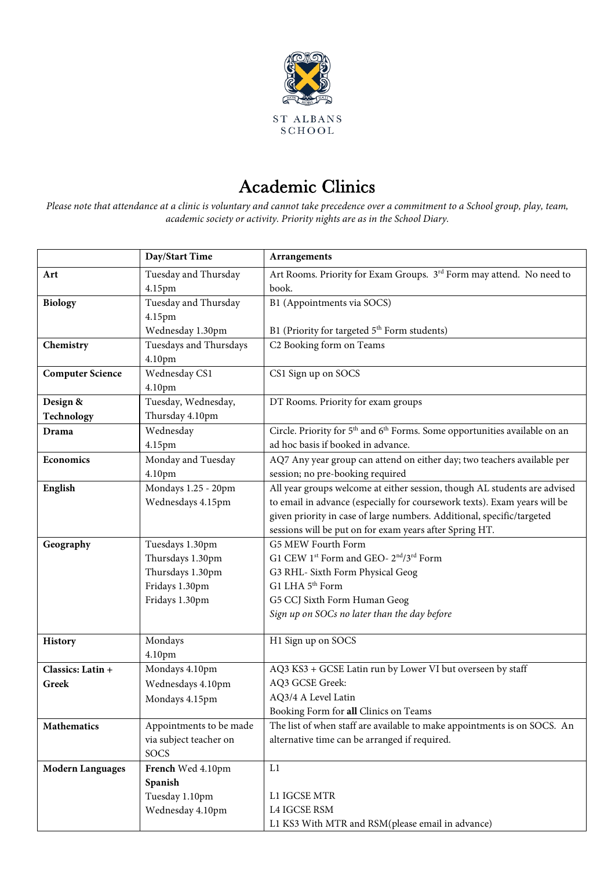

## Academic Clinics

*Please note that attendance at a clinic is voluntary and cannot take precedence over a commitment to a School group, play, team, academic society or activity. Priority nights are as in the School Diary.*

|                         | Day/Start Time          | Arrangements                                                                                       |
|-------------------------|-------------------------|----------------------------------------------------------------------------------------------------|
| Art                     | Tuesday and Thursday    | Art Rooms. Priority for Exam Groups. 3rd Form may attend. No need to                               |
|                         | 4.15pm                  | book.                                                                                              |
| <b>Biology</b>          | Tuesday and Thursday    | B1 (Appointments via SOCS)                                                                         |
|                         | 4.15pm                  |                                                                                                    |
|                         | Wednesday 1.30pm        | B1 (Priority for targeted 5 <sup>th</sup> Form students)                                           |
| Chemistry               | Tuesdays and Thursdays  | C2 Booking form on Teams                                                                           |
|                         | 4.10pm                  |                                                                                                    |
| <b>Computer Science</b> | Wednesday CS1           | CS1 Sign up on SOCS                                                                                |
|                         | 4.10pm                  |                                                                                                    |
| Design &                | Tuesday, Wednesday,     | DT Rooms. Priority for exam groups                                                                 |
| Technology              | Thursday 4.10pm         |                                                                                                    |
| Drama                   | Wednesday               | Circle. Priority for 5 <sup>th</sup> and 6 <sup>th</sup> Forms. Some opportunities available on an |
|                         | 4.15pm                  | ad hoc basis if booked in advance.                                                                 |
| <b>Economics</b>        | Monday and Tuesday      | AQ7 Any year group can attend on either day; two teachers available per                            |
|                         | 4.10pm                  | session; no pre-booking required                                                                   |
| English                 | Mondays 1.25 - 20pm     | All year groups welcome at either session, though AL students are advised                          |
|                         | Wednesdays 4.15pm       | to email in advance (especially for coursework texts). Exam years will be                          |
|                         |                         | given priority in case of large numbers. Additional, specific/targeted                             |
|                         |                         | sessions will be put on for exam years after Spring HT.                                            |
| Geography               | Tuesdays 1.30pm         | G5 MEW Fourth Form                                                                                 |
|                         | Thursdays 1.30pm        | G1 CEW 1st Form and GEO- 2 <sup>nd</sup> /3 <sup>rd</sup> Form                                     |
|                         | Thursdays 1.30pm        | G3 RHL- Sixth Form Physical Geog                                                                   |
|                         | Fridays 1.30pm          | G1 LHA 5 <sup>th</sup> Form                                                                        |
|                         | Fridays 1.30pm          | G5 CCJ Sixth Form Human Geog                                                                       |
|                         |                         | Sign up on SOCs no later than the day before                                                       |
|                         | Mondays                 | H1 Sign up on SOCS                                                                                 |
| <b>History</b>          | 4.10pm                  |                                                                                                    |
| Classics: Latin +       | Mondays 4.10pm          | AQ3 KS3 + GCSE Latin run by Lower VI but overseen by staff                                         |
| Greek                   | Wednesdays 4.10pm       | AQ3 GCSE Greek:                                                                                    |
|                         |                         | AQ3/4 A Level Latin                                                                                |
|                         | Mondays 4.15pm          | Booking Form for all Clinics on Teams                                                              |
| Mathematics             | Appointments to be made | The list of when staff are available to make appointments is on SOCS. An                           |
|                         | via subject teacher on  | alternative time can be arranged if required.                                                      |
|                         | SOCS                    |                                                                                                    |
| <b>Modern Languages</b> | French Wed 4.10pm       | L1                                                                                                 |
|                         | Spanish                 |                                                                                                    |
|                         | Tuesday 1.10pm          | L1 IGCSE MTR                                                                                       |
|                         | Wednesday 4.10pm        | L4 IGCSE RSM                                                                                       |
|                         |                         | L1 KS3 With MTR and RSM(please email in advance)                                                   |